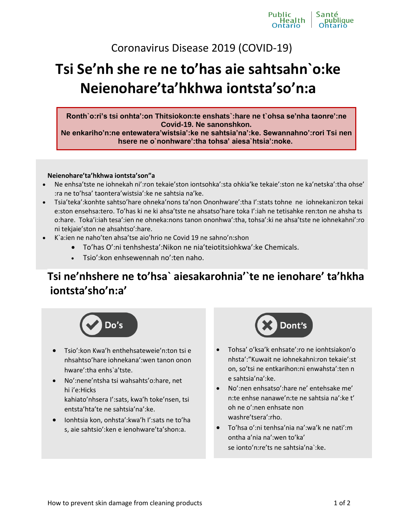Coronavirus Disease 2019 (COVID-19)

# **Tsi Se'nh she re ne to'has aie sahtsahn`o:ke Neienohare'ta'hkhwa iontsta'so'n:a**

**Ronth`o:ri's tsi onhta':on Thitsiokon:te enshats`:hare ne t`ohsa se'nha taonre':ne Covid-19. Ne sanonshkon.** 

**Ne enkariho'n:ne entewatera'wistsia':ke ne sahtsia'na':ke. Sewannahno':rori Tsi nen hsere ne o`nonhware':tha tohsa' aiesa`htsia':noke.**

#### **Neienohare'ta'hkhwa iontsta'son"a**

- Ne enhsa'tste ne iohnekah ni':ron tekaie'ston iontsohka':sta ohkia'ke tekaie':ston ne ka'netska':tha ohse' :ra ne to'hsa' taontera'wistsia':ke ne sahtsia na'ke.
- Tsia'teka':konhte sahtso'hare ohneka'nons ta'non Ononhware':tha I':stats tohne ne iohnekani:ron tekai e:ston ensehsa:tero. To'has ki ne ki ahsa'tste ne ahsatso'hare toka I':iah ne tetisahke ren:ton ne ahsha ts o:hare. Toka'i:iah tesa':ien ne ohneka:nons tanon ononhwa':tha, tohsa':ki ne ahsa'tste ne iohnekahni':ro ni tekjaie'ston ne ahsahtso':hare.
- K`a:ien ne naho'ten ahsa'tse aio'hrio ne Covid 19 ne sahno'n:shon
	- To'has O':ni tenhshesta':Nikon ne nia'teiotitsiohkwa':ke Chemicals.
	- Tsio':kon enhsewennah no':ten naho.

## **Tsi ne'nhshere ne to'hsa` aiesakarohnia'`te ne ienohare' ta'hkha iontsta'sho'n:a'**



- Tsio':kon Kwa'h enthehsateweie'n:ton tsi e nhsahtso'hare iohnekana':wen tanon onon hware':tha enhs`a'tste.
- No':nene'ntsha tsi wahsahts'o:hare, net hi i'e:Hicks kahiato'nhsera I':sats, kwa'h toke'nsen, tsi entsta'hta'te ne sahtsia'na':ke.
- Ionhtsia kon, onhsta':kwa'h I':sats ne to'ha s, aie sahtsio':ken e ienohware'ta'shon:a.



- Tohsa' o'ksa'k enhsate':ro ne ionhtsiakon'o nhsta':"Kuwait ne iohnekahni:ron tekaie':st on, so'tsi ne entkarihon:ni enwahsta':ten n e sahtsia'na':ke.
- No':nen enhsatso':hare ne' entehsake me' n:te enhse nanawe'n:te ne sahtsia na':ke t' oh ne o':nen enhsate non washre'tsera':rho.
- To'hsa o':ni tenhsa'nia na':wa'k ne nati':m ontha a'nia na':wen to'ka' se ionto'n:re'ts ne sahtsia'na`:ke.